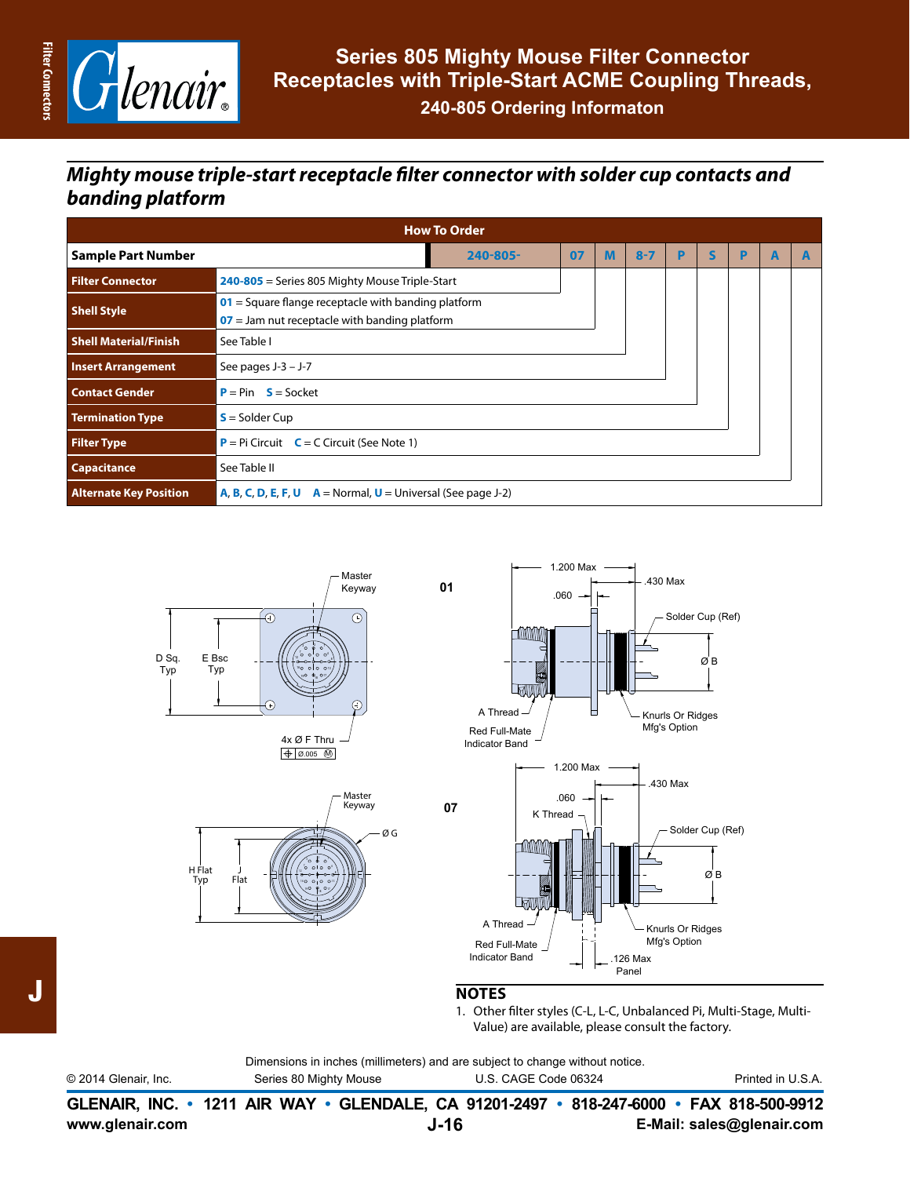

### *Mighty mouse triple-start receptacle filter connector with solder cup contacts and banding platform*

| <b>How To Order</b>           |                                                                          |                                                                                                          |    |   |         |   |              |   |   |   |
|-------------------------------|--------------------------------------------------------------------------|----------------------------------------------------------------------------------------------------------|----|---|---------|---|--------------|---|---|---|
| <b>Sample Part Number</b>     |                                                                          | 240-805-                                                                                                 | 07 | M | $8 - 7$ | P | $\mathsf{s}$ | P | A | A |
| <b>Filter Connector</b>       | 240-805 = Series 805 Mighty Mouse Triple-Start                           |                                                                                                          |    |   |         |   |              |   |   |   |
| <b>Shell Style</b>            |                                                                          | $01$ = Square flange receptacle with banding platform<br>$07$ = Jam nut receptacle with banding platform |    |   |         |   |              |   |   |   |
| <b>Shell Material/Finish</b>  | See Table I                                                              |                                                                                                          |    |   |         |   |              |   |   |   |
| <b>Insert Arrangement</b>     | See pages $J-3 - J-7$                                                    |                                                                                                          |    |   |         |   |              |   |   |   |
| <b>Contact Gender</b>         | $P = Pin S = Socket$                                                     |                                                                                                          |    |   |         |   |              |   |   |   |
| <b>Termination Type</b>       | $S =$ Solder Cup                                                         |                                                                                                          |    |   |         |   |              |   |   |   |
| <b>Filter Type</b>            | <b>P</b> = Pi Circuit $C = C$ Circuit (See Note 1)                       |                                                                                                          |    |   |         |   |              |   |   |   |
| <b>Capacitance</b>            | See Table II                                                             |                                                                                                          |    |   |         |   |              |   |   |   |
| <b>Alternate Key Position</b> | <b>A, B, C, D, E, F, U</b> $A = Normal$ , $U = Universal$ (See page J-2) |                                                                                                          |    |   |         |   |              |   |   |   |







#### **NOTES**

1. Other filter styles (C-L, L-C, Unbalanced Pi, Multi-Stage, Multi-Value) are available, please consult the factory.

|                      | Dimensions in inches (millimeters) and are subject to change without notice. |                      |                   |
|----------------------|------------------------------------------------------------------------------|----------------------|-------------------|
| © 2014 Glenair, Inc. | Series 80 Mighty Mouse                                                       | U.S. CAGE Code 06324 | Printed in U.S.A. |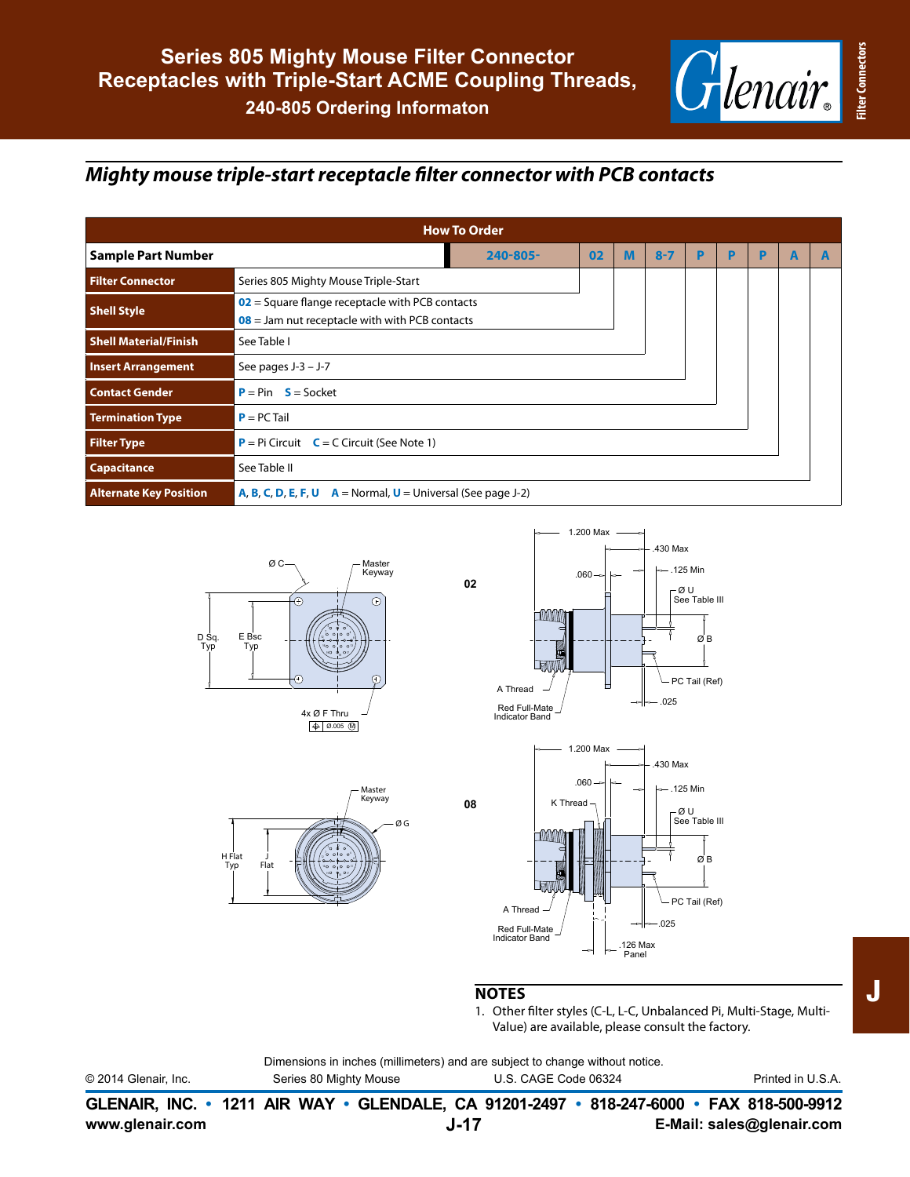

# *Mighty mouse triple-start receptacle filter connector with PCB contacts*

| <b>How To Order</b>           |                                                                          |                                                                                                       |    |   |         |   |   |   |   |   |
|-------------------------------|--------------------------------------------------------------------------|-------------------------------------------------------------------------------------------------------|----|---|---------|---|---|---|---|---|
| <b>Sample Part Number</b>     |                                                                          | $240 - 805 -$                                                                                         | 02 | м | $8 - 7$ | P | P | D | A | A |
| <b>Filter Connector</b>       | Series 805 Mighty Mouse Triple-Start                                     |                                                                                                       |    |   |         |   |   |   |   |   |
| <b>Shell Style</b>            |                                                                          | $02$ = Square flange receptacle with PCB contacts<br>$08$ = Jam nut receptacle with with PCB contacts |    |   |         |   |   |   |   |   |
| <b>Shell Material/Finish</b>  | See Table I                                                              |                                                                                                       |    |   |         |   |   |   |   |   |
| <b>Insert Arrangement</b>     | See pages $J-3 - J-7$                                                    |                                                                                                       |    |   |         |   |   |   |   |   |
| <b>Contact Gender</b>         | $P = Pin$ $S = Socket$                                                   |                                                                                                       |    |   |         |   |   |   |   |   |
| <b>Termination Type</b>       | $P = PC$ Tail                                                            |                                                                                                       |    |   |         |   |   |   |   |   |
| <b>Filter Type</b>            | $P = Pi$ Circuit $C = C$ Circuit (See Note 1)                            |                                                                                                       |    |   |         |   |   |   |   |   |
| <b>Capacitance</b>            | See Table II                                                             |                                                                                                       |    |   |         |   |   |   |   |   |
| <b>Alternate Key Position</b> | <b>A, B, C, D, E, F, U</b> $A = Normal$ , $U = Universal$ (See page J-2) |                                                                                                       |    |   |         |   |   |   |   |   |









#### **NOTES**

1. Other filter styles (C-L, L-C, Unbalanced Pi, Multi-Stage, Multi-Value) are available, please consult the factory.

Dimensions in inches (millimeters) and are subject to change without notice.

© 2014 Glenair, Inc. Series 80 Mighty Mouse U.S. CAGE Code 06324 Printed in U.S.A.

|                 |      | GLENAIR, INC. • 1211 AIR WAY • GLENDALE, CA 91201-2497 • 818-247-6000 • FAX 818-500-9912 |
|-----------------|------|------------------------------------------------------------------------------------------|
| www.glenair.com | J-17 | E-Mail: sales@glenair.com                                                                |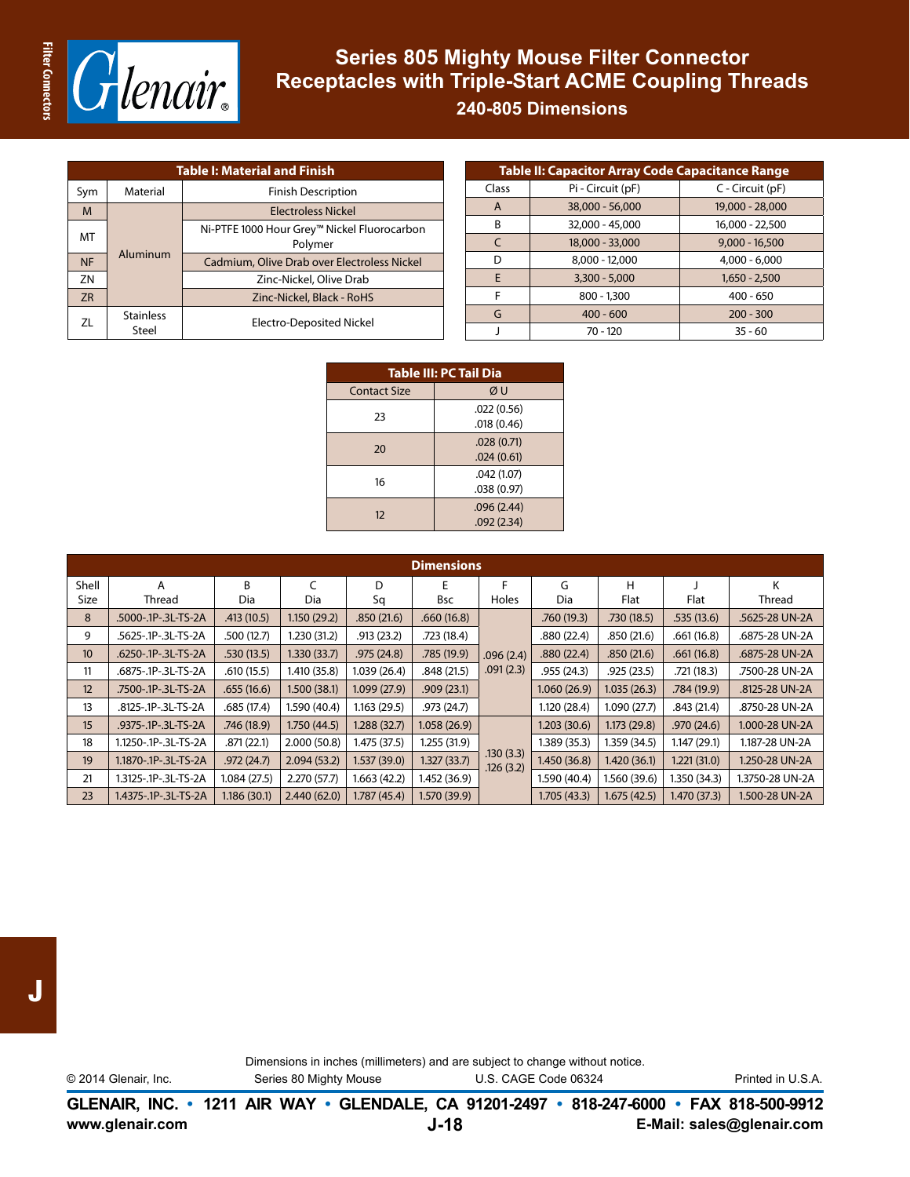

### **Series 805 Mighty Mouse Filter Connector Receptacles with Triple-Start ACME Coupling Threads**

**240-805 Dimensions**

| <b>Table I: Material and Finish</b> |                           |                                                        |  |  |  |  |
|-------------------------------------|---------------------------|--------------------------------------------------------|--|--|--|--|
| Sym                                 | Material                  | <b>Finish Description</b>                              |  |  |  |  |
| M                                   | Aluminum                  | <b>Flectroless Nickel</b>                              |  |  |  |  |
| МT                                  |                           | Ni-PTFE 1000 Hour Grey™ Nickel Fluorocarbon<br>Polymer |  |  |  |  |
| <b>NF</b>                           |                           | Cadmium, Olive Drab over Electroless Nickel            |  |  |  |  |
| ZN                                  |                           | Zinc-Nickel, Olive Drab                                |  |  |  |  |
| <b>ZR</b>                           |                           | Zinc-Nickel, Black - RoHS                              |  |  |  |  |
| 71                                  | <b>Stainless</b><br>Steel | Electro-Deposited Nickel                               |  |  |  |  |

|              | <b>Table II: Capacitor Array Code Capacitance Range</b> |                  |  |  |  |  |  |
|--------------|---------------------------------------------------------|------------------|--|--|--|--|--|
| Class        | Pi - Circuit (pF)                                       | C - Circuit (pF) |  |  |  |  |  |
| $\mathsf{A}$ | 38,000 - 56,000                                         | 19,000 - 28,000  |  |  |  |  |  |
| B            | 32,000 - 45,000                                         | 16,000 - 22,500  |  |  |  |  |  |
| $\epsilon$   | 18,000 - 33,000                                         | $9.000 - 16.500$ |  |  |  |  |  |
| D            | $8,000 - 12,000$                                        | $4,000 - 6,000$  |  |  |  |  |  |
| E            | $3,300 - 5,000$                                         | $1,650 - 2,500$  |  |  |  |  |  |
| F            | $800 - 1,300$                                           | $400 - 650$      |  |  |  |  |  |
| G            | $400 - 600$                                             | $200 - 300$      |  |  |  |  |  |
|              | $70 - 120$                                              | $35 - 60$        |  |  |  |  |  |

| <b>Table III: PC Tail Dia</b> |            |  |  |  |  |
|-------------------------------|------------|--|--|--|--|
| <b>Contact Size</b>           | ØU         |  |  |  |  |
| 23                            | .022(0.56) |  |  |  |  |
|                               | .018(0.46) |  |  |  |  |
| 20                            | .028(0.71) |  |  |  |  |
|                               | .024(0.61) |  |  |  |  |
| 16                            | .042(1.07) |  |  |  |  |
|                               | .038(0.97) |  |  |  |  |
| 12                            | .096(2.44) |  |  |  |  |
|                               | .092(2.34) |  |  |  |  |

| <b>Dimensions</b> |                      |              |              |              |              |                        |              |              |              |                 |
|-------------------|----------------------|--------------|--------------|--------------|--------------|------------------------|--------------|--------------|--------------|-----------------|
| Shell             | A                    | R.           | C            | D            | E            | F                      | G            | H            |              | K               |
| Size              | Thread               | Dia          | Dia          | Sq           | <b>Bsc</b>   | Holes                  | Dia          | <b>Flat</b>  | Flat         | Thread          |
| 8                 | .5000-.1P-.3L-TS-2A  | .413(10.5)   | 1.150(29.2)  | .850(21.6)   | .660(16.8)   |                        | .760(19.3)   | .730(18.5)   |              | .5625-28 UN-2A  |
| 9                 | .5625-.1P-.3L-TS-2A  | .500(12.7)   | 1.230(31.2)  | .913(23.2)   | .723(18.4)   |                        | .880 (22.4)  | .850(21.6)   | .661(16.8)   | .6875-28 UN-2A  |
| 10 <sup>10</sup>  | .6250-.1P-.3L-TS-2A  | .530(13.5)   | 1.330(33.7)  | .975(24.8)   | .785(19.9)   | .096(2.4)              | .880(22.4)   | .850(21.6)   | .661(16.8)   | .6875-28 UN-2A  |
| 11                | .6875-.1P-.3L-TS-2A  | .610(15.5)   | 1.410 (35.8) | 1.039 (26.4) | .848(21.5)   | .091(2.3)              | .955(24.3)   | .925(23.5)   | .721(18.3)   | .7500-28 UN-2A  |
| 12                | .7500-.1P-.3L-TS-2A  | .655(16.6)   | 1.500(38.1)  | 1.099(27.9)  | .909(23.1)   |                        | 1.060(26.9)  | 1.035(26.3)  | .784(19.9)   | .8125-28 UN-2A  |
| 13                | .8125-.1P-.3L-TS-2A  | .685(17.4)   | 1.590 (40.4) | 1.163(29.5)  | .973(24.7)   |                        | 1.120(28.4)  | 1.090(27.7)  | .843(21.4)   | .8750-28 UN-2A  |
| 15                | .9375-.1P-.3L-TS-2A  | .746(18.9)   | 1.750(44.5)  | 1.288 (32.7) | 1.058(26.9)  |                        | 1.203(30.6)  | 1.173(29.8)  | .970(24.6)   | 1.000-28 UN-2A  |
| 18                | 1.1250-.1P-.3L-TS-2A | .871(22.1)   | 2.000(50.8)  | 1.475 (37.5) | 1.255(31.9)  |                        | 1.389(35.3)  | 1.359 (34.5) | 1.147(29.1)  | 1.187-28 UN-2A  |
| 19                | 1.1870-.1P-.3L-TS-2A | .972(24.7)   | 2.094(53.2)  | 1.537 (39.0) | 1.327(33.7)  | .130(3.3)<br>.126(3.2) | 1.450(36.8)  | 1.420(36.1)  | 1.221(31.0)  | 1.250-28 UN-2A  |
| 21                | 1.3125-.1P-.3L-TS-2A | 1.084(27.5)  | 2.270(57.7)  | 1.663 (42.2) | 1.452 (36.9) |                        | 1.590 (40.4) | 1.560 (39.6) | 1.350 (34.3) | 1.3750-28 UN-2A |
| 23                | 1.4375-.1P-.3L-TS-2A | 1.186 (30.1) | 2.440(62.0)  | 1.787(45.4)  | 1.570(39.9)  |                        | 1.705(43.3)  | 1.675(42.5)  | 1.470 (37.3) | 1.500-28 UN-2A  |

Dimensions in inches (millimeters) and are subject to change without notice.

© 2014 Glenair, Inc. Series 80 Mighty Mouse U.S. CAGE Code 06324 Printed in U.S.A.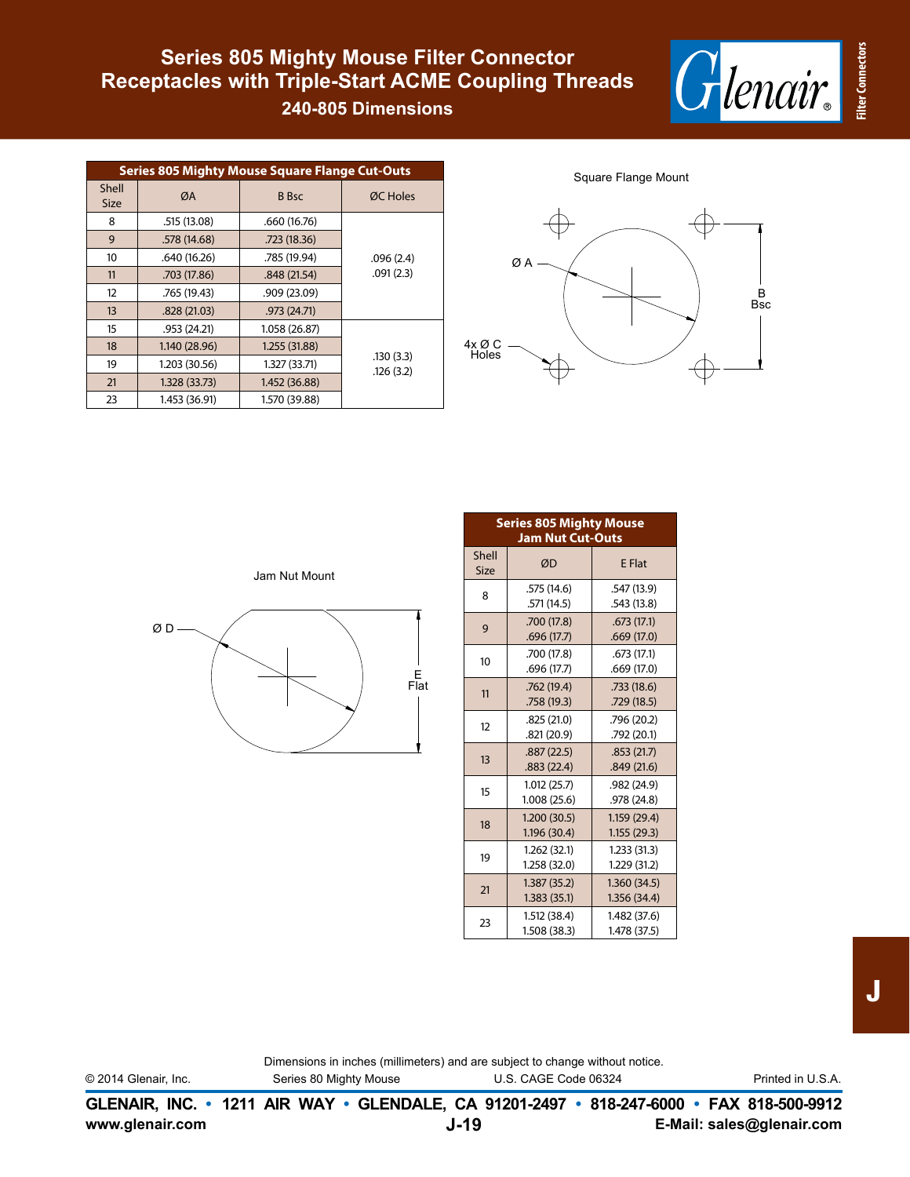

# Receptacles with Triple-Start ACME Coupling Threads **Series 805 Mighty Mouse Filter Connector**

**240-805 Dimensions**

| <b>Series 805 Mighty Mouse Square Flange Cut-Outs</b> |               |               |                        |  |  |  |  |
|-------------------------------------------------------|---------------|---------------|------------------------|--|--|--|--|
| Shell<br><b>Size</b>                                  | ØA            | <b>B</b> Bsc  | ØC Holes               |  |  |  |  |
| 8                                                     | .515 (13.08)  | .660 (16.76)  |                        |  |  |  |  |
| 9                                                     | .578 (14.68)  | .723 (18.36)  |                        |  |  |  |  |
| 10                                                    | .640 (16.26)  | .785 (19.94)  | .096(2.4)              |  |  |  |  |
| 11                                                    | .703 (17.86)  | .848 (21.54)  | .091(2.3)              |  |  |  |  |
| 12                                                    | .765 (19.43)  | .909(23.09)   |                        |  |  |  |  |
| 13                                                    | .828(21.03)   | .973(24.71)   |                        |  |  |  |  |
| 15                                                    | .953(24.21)   | 1.058 (26.87) |                        |  |  |  |  |
| 18                                                    | 1.140 (28.96) | 1.255 (31.88) |                        |  |  |  |  |
| 19                                                    | 1.203 (30.56) | 1.327 (33.71) | .130(3.3)<br>.126(3.2) |  |  |  |  |
| 21                                                    | 1.328 (33.73) | 1.452 (36.88) |                        |  |  |  |  |
| 23                                                    | 1.453 (36.91) | 1.570 (39.88) |                        |  |  |  |  |

Square Flange Mount



|    | Jam Nut Mount |          |
|----|---------------|----------|
| ØΟ |               | $E$ Flat |
|    |               |          |

|               | <b>Series 805 Mighty Mouse</b><br><b>Jam Nut Cut-Outs</b> |                             |  |  |  |  |
|---------------|-----------------------------------------------------------|-----------------------------|--|--|--|--|
| Shell<br>Size | ØD                                                        | <b>E</b> Flat               |  |  |  |  |
| 8             | .575 (14.6)<br>.571 (14.5)                                | .547 (13.9)<br>.543(13.8)   |  |  |  |  |
| 9             | .700 (17.8)<br>.696(17.7)                                 | .673(17.1)<br>.669(17.0)    |  |  |  |  |
| 10            | .700 (17.8)<br>.696(17.7)                                 | .673(17.1)<br>.669(17.0)    |  |  |  |  |
| 11            | .762(19.4)<br>.758(19.3)                                  | .733(18.6)<br>.729(18.5)    |  |  |  |  |
| 12            | .825(21.0)<br>.821 (20.9)                                 | .796 (20.2)<br>.792 (20.1)  |  |  |  |  |
| 13            | .887(22.5)<br>.883(22.4)                                  | .853(21.7)<br>.849(21.6)    |  |  |  |  |
| 15            | 1.012(25.7)<br>1.008 (25.6)                               | .982 (24.9)<br>.978 (24.8)  |  |  |  |  |
| 18            | 1.200(30.5)<br>1.196 (30.4)                               | 1.159(29.4)<br>1.155(29.3)  |  |  |  |  |
| 19            | 1.262(32.1)<br>1.258 (32.0)                               | 1.233(31.3)<br>1.229 (31.2) |  |  |  |  |
| 21            | 1.387(35.2)<br>1.383(35.1)                                | 1.360(34.5)<br>1.356 (34.4) |  |  |  |  |
| 23            | 1.512 (38.4)<br>1.508 (38.3)                              | 1.482(37.6)<br>1.478 (37.5) |  |  |  |  |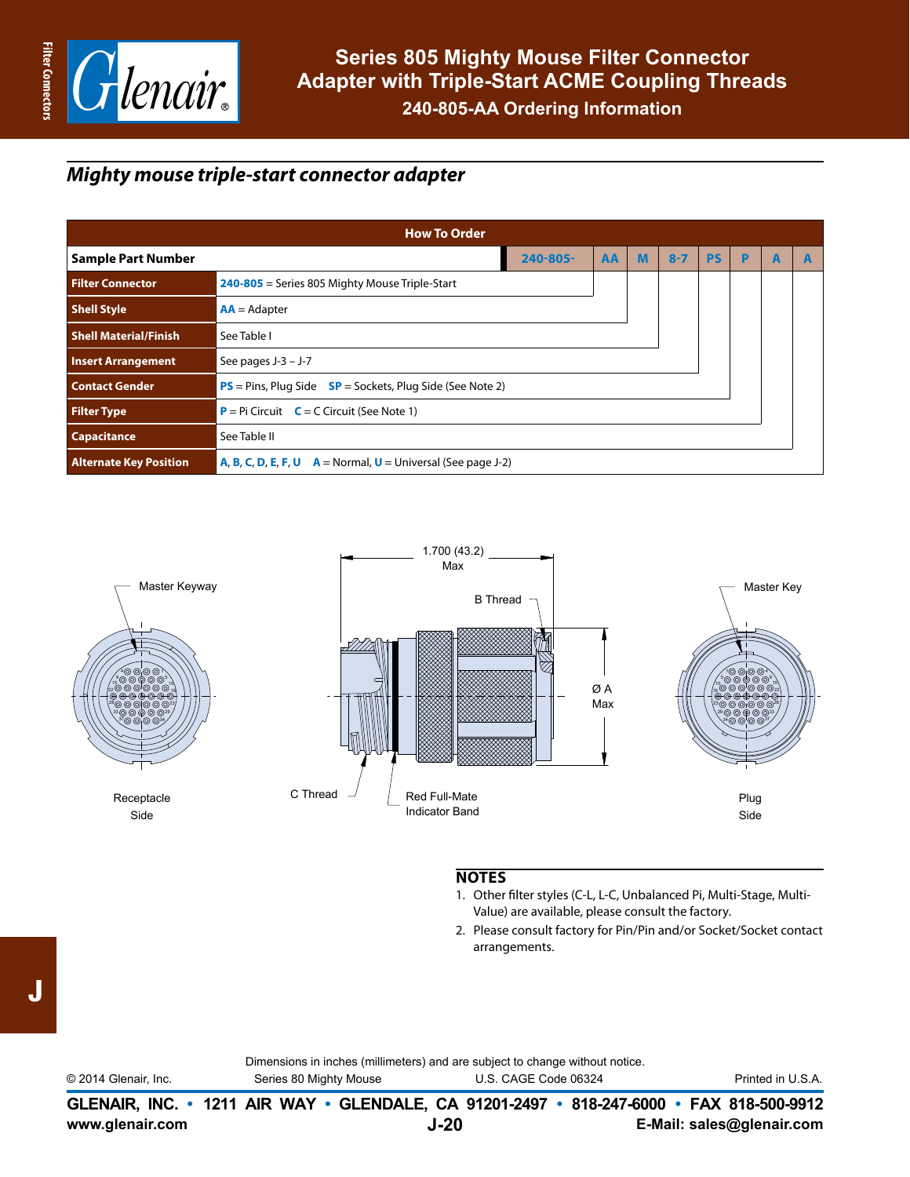

#### *Mighty mouse triple-start connector adapter*

| <b>How To Order</b>           |                                                                          |               |    |   |         |           |   |   |   |
|-------------------------------|--------------------------------------------------------------------------|---------------|----|---|---------|-----------|---|---|---|
| <b>Sample Part Number</b>     |                                                                          | $240 - 805 -$ | AA | M | $8 - 7$ | <b>PS</b> | P | A | E |
| <b>Filter Connector</b>       | $240 - 805$ = Series 805 Mighty Mouse Triple-Start                       |               |    |   |         |           |   |   |   |
| <b>Shell Style</b>            | $AA =$ Adapter                                                           |               |    |   |         |           |   |   |   |
| <b>Shell Material/Finish</b>  | See Table I                                                              |               |    |   |         |           |   |   |   |
| <b>Insert Arrangement</b>     | See pages $J-3 - J-7$                                                    |               |    |   |         |           |   |   |   |
| <b>Contact Gender</b>         | $PS = Pins$ , Plug Side $SP = Sockets$ , Plug Side (See Note 2)          |               |    |   |         |           |   |   |   |
| <b>Filter Type</b>            | <b>P</b> = Pi Circuit $C = C$ Circuit (See Note 1)                       |               |    |   |         |           |   |   |   |
| <b>Capacitance</b>            | See Table II                                                             |               |    |   |         |           |   |   |   |
| <b>Alternate Key Position</b> | <b>A, B, C, D, E, F, U</b> $A = Normal$ , $U = Universal$ (See page J-2) |               |    |   |         |           |   |   |   |



#### **NOTES**

- 1. Other filter styles (C-L, L-C, Unbalanced Pi, Multi-Stage, Multi-Value) are available, please consult the factory.
- 2. Please consult factory for Pin/Pin and/or Socket/Socket contact arrangements.

|                |                        | Dimensions in inches (millimeters) and are subject to change without notice. |
|----------------|------------------------|------------------------------------------------------------------------------|
| 14 Glenair Inc | Series 80 Mighty Mouse | LLS CAGE Code 06324                                                          |

© 2014 Glenair, Inc. Series 80 Mighty Mouse U.S. CAGE Code 06324 Printed in U.S.A.